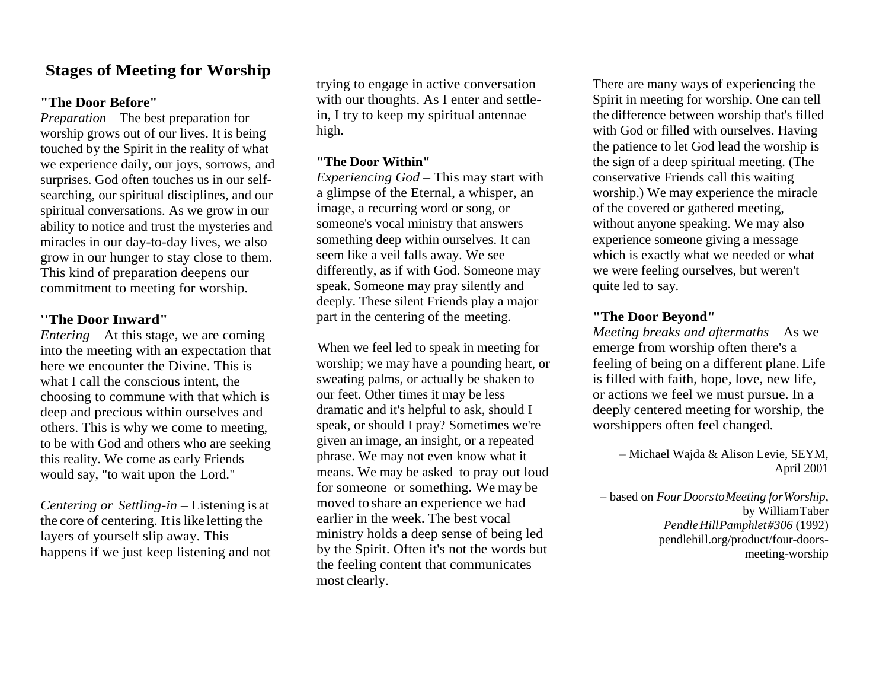## **Stages of Meeting for Worship**

#### **"The Door Before"**

*Preparation* – The best preparation for worship grows out of our lives. It is being touched by the Spirit in the reality of what we experience daily, our joys, sorrows, and surprises. God often touches us in our selfsearching, our spiritual disciplines, and our spiritual conversations. As we grow in our ability to notice and trust the mysteries and miracles in our day-to-day lives, we also grow in our hunger to stay close to them. This kind of preparation deepens our commitment to meeting for worship.

### **''The Door Inward"**

*Entering* – At this stage, we are coming into the meeting with an expectation that here we encounter the Divine. This is what I call the conscious intent, the choosing to commune with that which is deep and precious within ourselves and others. This is why we come to meeting, to be with God and others who are seeking this reality. We come as early Friends would say, "to wait upon the Lord."

*Centering or Settling-in* – Listening is at the core of centering. Itislike letting the layers of yourself slip away. This happens if we just keep listening and not trying to engage in active conversation with our thoughts. As I enter and settlein, I try to keep my spiritual antennae high.

### **"The Door Within"**

*Experiencing God* – This may start with a glimpse of the Eternal, a whisper, an image, a recurring word or song, or someone's vocal ministry that answers something deep within ourselves. It can seem like a veil falls away. We see differently, as if with God. Someone may speak. Someone may pray silently and deeply. These silent Friends play a major part in the centering of the meeting.

When we feel led to speak in meeting for worship; we may have a pounding heart, or sweating palms, or actually be shaken to our feet. Other times it may be less dramatic and it's helpful to ask, should I speak, or should I pray? Sometimes we're given an image, an insight, or a repeated phrase. We may not even know what it means. We may be asked to pray out loud for someone or something. We may be moved to share an experience we had earlier in the week. The best vocal ministry holds a deep sense of being led by the Spirit. Often it's not the words but the feeling content that communicates most clearly.

There are many ways of experiencing the Spirit in meeting for worship. One can tell the difference between worship that's filled with God or filled with ourselves. Having the patience to let God lead the worship is the sign of a deep spiritual meeting. (The conservative Friends call this waiting worship.) We may experience the miracle of the covered or gathered meeting, without anyone speaking. We may also experience someone giving a message which is exactly what we needed or what we were feeling ourselves, but weren't quite led to say.

#### **"The Door Beyond"**

*Meeting breaks and aftermaths* – As we emerge from worship often there's a feeling of being on a different plane. Life is filled with faith, hope, love, new life, or actions we feel we must pursue. In a deeply centered meeting for worship, the worshippers often feel changed.

> – Michael Wajda & Alison Levie, SEYM, April 2001

– based on *Four DoorstoMeeting forWorship*, by WilliamTaber *PendleHillPamphlet#306* (1992) pendlehill.org/product/four-doorsmeeting-worship